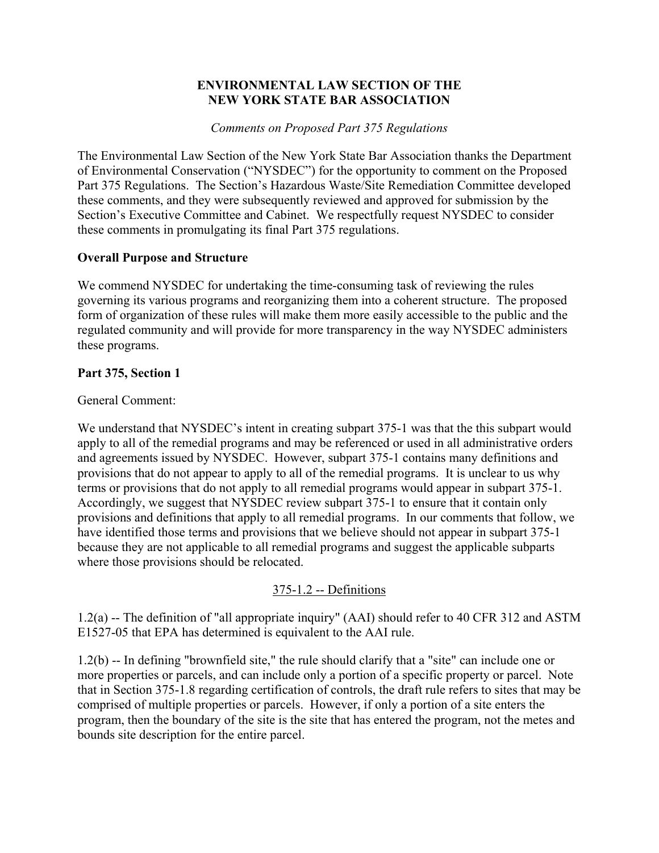#### **ENVIRONMENTAL LAW SECTION OF THE NEW YORK STATE BAR ASSOCIATION**

*Comments on Proposed Part 375 Regulations* 

The Environmental Law Section of the New York State Bar Association thanks the Department of Environmental Conservation ("NYSDEC") for the opportunity to comment on the Proposed Part 375 Regulations. The Section's Hazardous Waste/Site Remediation Committee developed these comments, and they were subsequently reviewed and approved for submission by the Section's Executive Committee and Cabinet. We respectfully request NYSDEC to consider these comments in promulgating its final Part 375 regulations.

# **Overall Purpose and Structure**

We commend NYSDEC for undertaking the time-consuming task of reviewing the rules governing its various programs and reorganizing them into a coherent structure. The proposed form of organization of these rules will make them more easily accessible to the public and the regulated community and will provide for more transparency in the way NYSDEC administers these programs.

# **Part 375, Section 1**

## General Comment:

We understand that NYSDEC's intent in creating subpart 375-1 was that the this subpart would apply to all of the remedial programs and may be referenced or used in all administrative orders and agreements issued by NYSDEC. However, subpart 375-1 contains many definitions and provisions that do not appear to apply to all of the remedial programs. It is unclear to us why terms or provisions that do not apply to all remedial programs would appear in subpart 375-1. Accordingly, we suggest that NYSDEC review subpart 375-1 to ensure that it contain only provisions and definitions that apply to all remedial programs. In our comments that follow, we have identified those terms and provisions that we believe should not appear in subpart 375-1 because they are not applicable to all remedial programs and suggest the applicable subparts where those provisions should be relocated.

# 375-1.2 -- Definitions

1.2(a) -- The definition of "all appropriate inquiry" (AAI) should refer to 40 CFR 312 and ASTM E1527-05 that EPA has determined is equivalent to the AAI rule.

1.2(b) -- In defining "brownfield site," the rule should clarify that a "site" can include one or more properties or parcels, and can include only a portion of a specific property or parcel. Note that in Section 375-1.8 regarding certification of controls, the draft rule refers to sites that may be comprised of multiple properties or parcels. However, if only a portion of a site enters the program, then the boundary of the site is the site that has entered the program, not the metes and bounds site description for the entire parcel.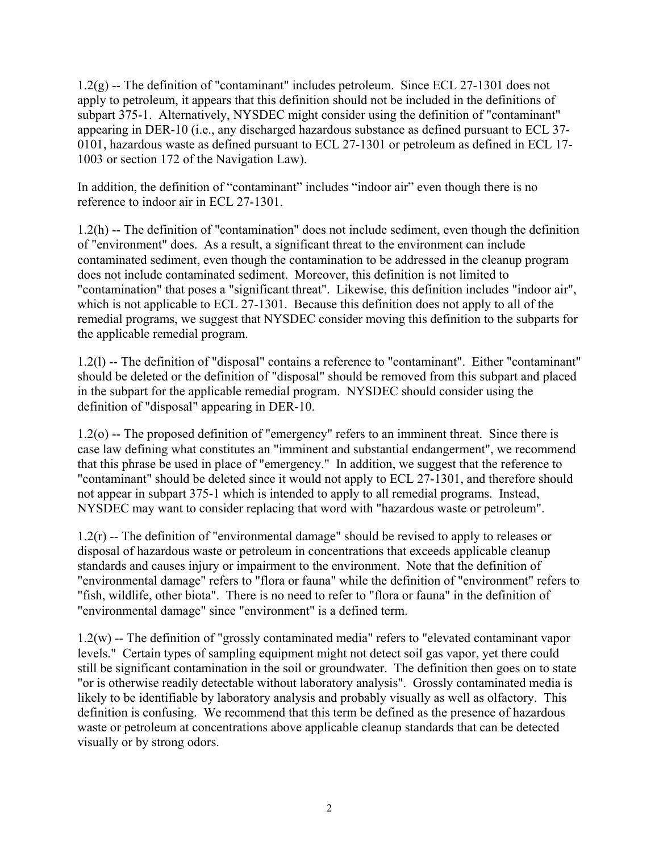1.2(g) -- The definition of "contaminant" includes petroleum. Since ECL 27-1301 does not apply to petroleum, it appears that this definition should not be included in the definitions of subpart 375-1. Alternatively, NYSDEC might consider using the definition of "contaminant" appearing in DER-10 (i.e., any discharged hazardous substance as defined pursuant to ECL 37- 0101, hazardous waste as defined pursuant to ECL 27-1301 or petroleum as defined in ECL 17- 1003 or section 172 of the Navigation Law).

In addition, the definition of "contaminant" includes "indoor air" even though there is no reference to indoor air in ECL 27-1301.

1.2(h) -- The definition of "contamination" does not include sediment, even though the definition of "environment" does. As a result, a significant threat to the environment can include contaminated sediment, even though the contamination to be addressed in the cleanup program does not include contaminated sediment. Moreover, this definition is not limited to "contamination" that poses a "significant threat". Likewise, this definition includes "indoor air", which is not applicable to ECL 27-1301. Because this definition does not apply to all of the remedial programs, we suggest that NYSDEC consider moving this definition to the subparts for the applicable remedial program.

1.2(l) -- The definition of "disposal" contains a reference to "contaminant". Either "contaminant" should be deleted or the definition of "disposal" should be removed from this subpart and placed in the subpart for the applicable remedial program. NYSDEC should consider using the definition of "disposal" appearing in DER-10.

1.2(o) -- The proposed definition of "emergency" refers to an imminent threat. Since there is case law defining what constitutes an "imminent and substantial endangerment", we recommend that this phrase be used in place of "emergency." In addition, we suggest that the reference to "contaminant" should be deleted since it would not apply to ECL 27-1301, and therefore should not appear in subpart 375-1 which is intended to apply to all remedial programs. Instead, NYSDEC may want to consider replacing that word with "hazardous waste or petroleum".

1.2(r) -- The definition of "environmental damage" should be revised to apply to releases or disposal of hazardous waste or petroleum in concentrations that exceeds applicable cleanup standards and causes injury or impairment to the environment. Note that the definition of "environmental damage" refers to "flora or fauna" while the definition of "environment" refers to "fish, wildlife, other biota". There is no need to refer to "flora or fauna" in the definition of "environmental damage" since "environment" is a defined term.

1.2(w) -- The definition of "grossly contaminated media" refers to "elevated contaminant vapor levels." Certain types of sampling equipment might not detect soil gas vapor, yet there could still be significant contamination in the soil or groundwater. The definition then goes on to state "or is otherwise readily detectable without laboratory analysis". Grossly contaminated media is likely to be identifiable by laboratory analysis and probably visually as well as olfactory. This definition is confusing. We recommend that this term be defined as the presence of hazardous waste or petroleum at concentrations above applicable cleanup standards that can be detected visually or by strong odors.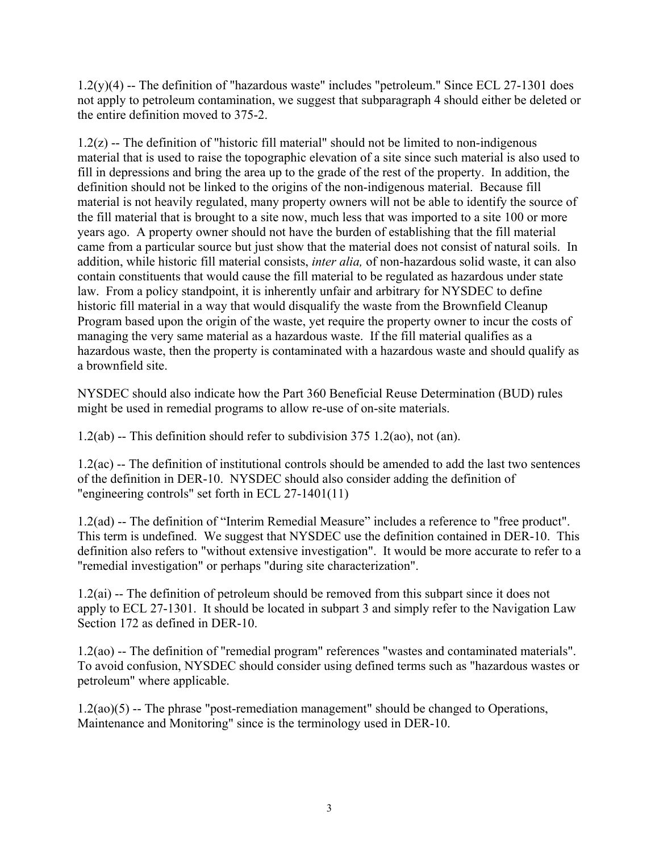1.2(y)(4) -- The definition of "hazardous waste" includes "petroleum." Since ECL 27-1301 does not apply to petroleum contamination, we suggest that subparagraph 4 should either be deleted or the entire definition moved to 375-2.

1.2(z) -- The definition of "historic fill material" should not be limited to non-indigenous material that is used to raise the topographic elevation of a site since such material is also used to fill in depressions and bring the area up to the grade of the rest of the property. In addition, the definition should not be linked to the origins of the non-indigenous material. Because fill material is not heavily regulated, many property owners will not be able to identify the source of the fill material that is brought to a site now, much less that was imported to a site 100 or more years ago. A property owner should not have the burden of establishing that the fill material came from a particular source but just show that the material does not consist of natural soils. In addition, while historic fill material consists, *inter alia,* of non-hazardous solid waste, it can also contain constituents that would cause the fill material to be regulated as hazardous under state law. From a policy standpoint, it is inherently unfair and arbitrary for NYSDEC to define historic fill material in a way that would disqualify the waste from the Brownfield Cleanup Program based upon the origin of the waste, yet require the property owner to incur the costs of managing the very same material as a hazardous waste. If the fill material qualifies as a hazardous waste, then the property is contaminated with a hazardous waste and should qualify as a brownfield site.

NYSDEC should also indicate how the Part 360 Beneficial Reuse Determination (BUD) rules might be used in remedial programs to allow re-use of on-site materials.

1.2(ab) -- This definition should refer to subdivision 375 1.2(ao), not (an).

1.2(ac) -- The definition of institutional controls should be amended to add the last two sentences of the definition in DER-10. NYSDEC should also consider adding the definition of "engineering controls" set forth in ECL 27-1401(11)

1.2(ad) -- The definition of "Interim Remedial Measure" includes a reference to "free product". This term is undefined. We suggest that NYSDEC use the definition contained in DER-10. This definition also refers to "without extensive investigation". It would be more accurate to refer to a "remedial investigation" or perhaps "during site characterization".

1.2(ai) -- The definition of petroleum should be removed from this subpart since it does not apply to ECL 27-1301. It should be located in subpart 3 and simply refer to the Navigation Law Section 172 as defined in DER-10.

1.2(ao) -- The definition of "remedial program" references "wastes and contaminated materials". To avoid confusion, NYSDEC should consider using defined terms such as "hazardous wastes or petroleum" where applicable.

1.2(ao)(5) -- The phrase "post-remediation management" should be changed to Operations, Maintenance and Monitoring" since is the terminology used in DER-10.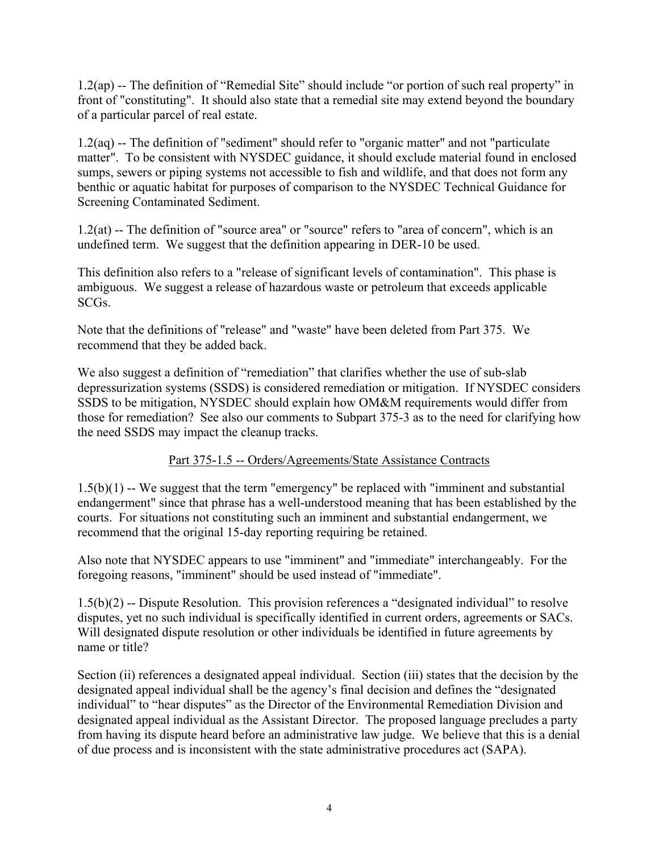1.2(ap) -- The definition of "Remedial Site" should include "or portion of such real property" in front of "constituting". It should also state that a remedial site may extend beyond the boundary of a particular parcel of real estate.

1.2(aq) -- The definition of "sediment" should refer to "organic matter" and not "particulate matter". To be consistent with NYSDEC guidance, it should exclude material found in enclosed sumps, sewers or piping systems not accessible to fish and wildlife, and that does not form any benthic or aquatic habitat for purposes of comparison to the NYSDEC Technical Guidance for Screening Contaminated Sediment.

1.2(at) -- The definition of "source area" or "source" refers to "area of concern", which is an undefined term. We suggest that the definition appearing in DER-10 be used.

This definition also refers to a "release of significant levels of contamination". This phase is ambiguous. We suggest a release of hazardous waste or petroleum that exceeds applicable SCGs.

Note that the definitions of "release" and "waste" have been deleted from Part 375. We recommend that they be added back.

We also suggest a definition of "remediation" that clarifies whether the use of sub-slab depressurization systems (SSDS) is considered remediation or mitigation. If NYSDEC considers SSDS to be mitigation, NYSDEC should explain how OM&M requirements would differ from those for remediation? See also our comments to Subpart 375-3 as to the need for clarifying how the need SSDS may impact the cleanup tracks.

## Part 375-1.5 -- Orders/Agreements/State Assistance Contracts

1.5(b)(1) -- We suggest that the term "emergency" be replaced with "imminent and substantial endangerment" since that phrase has a well-understood meaning that has been established by the courts. For situations not constituting such an imminent and substantial endangerment, we recommend that the original 15-day reporting requiring be retained.

Also note that NYSDEC appears to use "imminent" and "immediate" interchangeably. For the foregoing reasons, "imminent" should be used instead of "immediate".

1.5(b)(2) -- Dispute Resolution. This provision references a "designated individual" to resolve disputes, yet no such individual is specifically identified in current orders, agreements or SACs. Will designated dispute resolution or other individuals be identified in future agreements by name or title?

Section (ii) references a designated appeal individual. Section (iii) states that the decision by the designated appeal individual shall be the agency's final decision and defines the "designated individual" to "hear disputes" as the Director of the Environmental Remediation Division and designated appeal individual as the Assistant Director. The proposed language precludes a party from having its dispute heard before an administrative law judge. We believe that this is a denial of due process and is inconsistent with the state administrative procedures act (SAPA).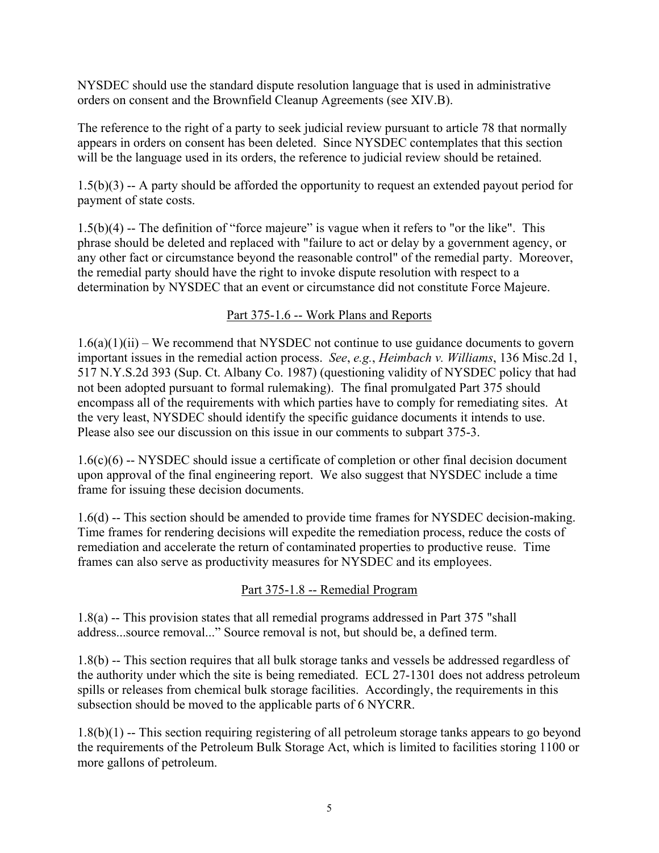NYSDEC should use the standard dispute resolution language that is used in administrative orders on consent and the Brownfield Cleanup Agreements (see XIV.B).

The reference to the right of a party to seek judicial review pursuant to article 78 that normally appears in orders on consent has been deleted. Since NYSDEC contemplates that this section will be the language used in its orders, the reference to judicial review should be retained.

1.5(b)(3) -- A party should be afforded the opportunity to request an extended payout period for payment of state costs.

1.5(b)(4) -- The definition of "force majeure" is vague when it refers to "or the like". This phrase should be deleted and replaced with "failure to act or delay by a government agency, or any other fact or circumstance beyond the reasonable control" of the remedial party. Moreover, the remedial party should have the right to invoke dispute resolution with respect to a determination by NYSDEC that an event or circumstance did not constitute Force Majeure.

## Part 375-1.6 -- Work Plans and Reports

 $1.6(a)(1)(ii)$  – We recommend that NYSDEC not continue to use guidance documents to govern important issues in the remedial action process. *See*, *e.g.*, *Heimbach v. Williams*, 136 Misc.2d 1, 517 N.Y.S.2d 393 (Sup. Ct. Albany Co. 1987) (questioning validity of NYSDEC policy that had not been adopted pursuant to formal rulemaking). The final promulgated Part 375 should encompass all of the requirements with which parties have to comply for remediating sites. At the very least, NYSDEC should identify the specific guidance documents it intends to use. Please also see our discussion on this issue in our comments to subpart 375-3.

1.6(c)(6) -- NYSDEC should issue a certificate of completion or other final decision document upon approval of the final engineering report. We also suggest that NYSDEC include a time frame for issuing these decision documents.

1.6(d) -- This section should be amended to provide time frames for NYSDEC decision-making. Time frames for rendering decisions will expedite the remediation process, reduce the costs of remediation and accelerate the return of contaminated properties to productive reuse. Time frames can also serve as productivity measures for NYSDEC and its employees.

## Part 375-1.8 -- Remedial Program

1.8(a) -- This provision states that all remedial programs addressed in Part 375 "shall address...source removal..." Source removal is not, but should be, a defined term.

1.8(b) -- This section requires that all bulk storage tanks and vessels be addressed regardless of the authority under which the site is being remediated. ECL 27-1301 does not address petroleum spills or releases from chemical bulk storage facilities. Accordingly, the requirements in this subsection should be moved to the applicable parts of 6 NYCRR.

1.8(b)(1) -- This section requiring registering of all petroleum storage tanks appears to go beyond the requirements of the Petroleum Bulk Storage Act, which is limited to facilities storing 1100 or more gallons of petroleum.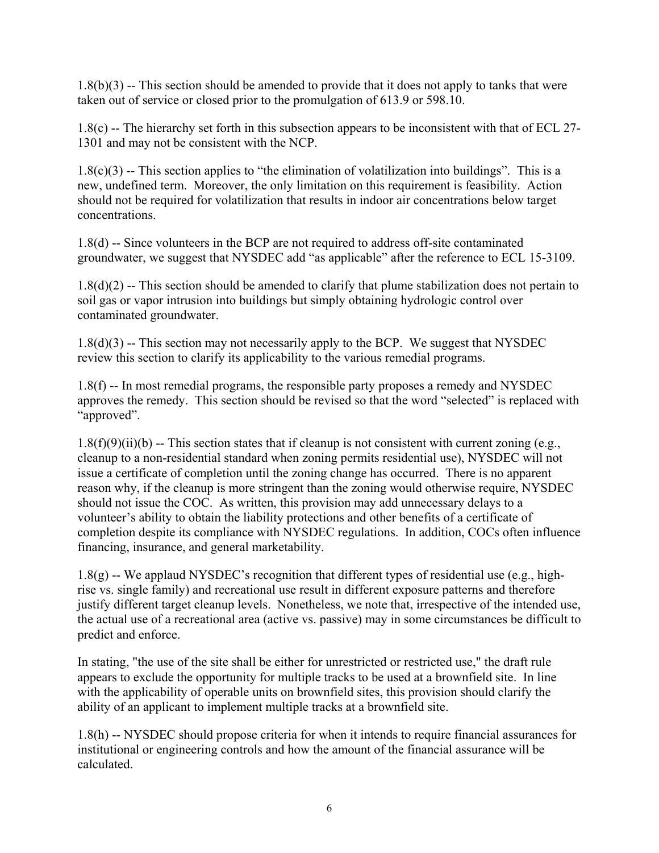1.8(b)(3) -- This section should be amended to provide that it does not apply to tanks that were taken out of service or closed prior to the promulgation of 613.9 or 598.10.

1.8(c) -- The hierarchy set forth in this subsection appears to be inconsistent with that of ECL 27- 1301 and may not be consistent with the NCP.

 $1.8(c)(3)$  -- This section applies to "the elimination of volatilization into buildings". This is a new, undefined term. Moreover, the only limitation on this requirement is feasibility. Action should not be required for volatilization that results in indoor air concentrations below target concentrations.

1.8(d) -- Since volunteers in the BCP are not required to address off-site contaminated groundwater, we suggest that NYSDEC add "as applicable" after the reference to ECL 15-3109.

1.8(d)(2) -- This section should be amended to clarify that plume stabilization does not pertain to soil gas or vapor intrusion into buildings but simply obtaining hydrologic control over contaminated groundwater.

 $1.8(d)(3)$  -- This section may not necessarily apply to the BCP. We suggest that NYSDEC review this section to clarify its applicability to the various remedial programs.

1.8(f) -- In most remedial programs, the responsible party proposes a remedy and NYSDEC approves the remedy. This section should be revised so that the word "selected" is replaced with "approved".

 $1.8(f)(9)(ii)(b)$  -- This section states that if cleanup is not consistent with current zoning (e.g., cleanup to a non-residential standard when zoning permits residential use), NYSDEC will not issue a certificate of completion until the zoning change has occurred. There is no apparent reason why, if the cleanup is more stringent than the zoning would otherwise require, NYSDEC should not issue the COC. As written, this provision may add unnecessary delays to a volunteer's ability to obtain the liability protections and other benefits of a certificate of completion despite its compliance with NYSDEC regulations. In addition, COCs often influence financing, insurance, and general marketability.

1.8(g) -- We applaud NYSDEC's recognition that different types of residential use (e.g., highrise vs. single family) and recreational use result in different exposure patterns and therefore justify different target cleanup levels. Nonetheless, we note that, irrespective of the intended use, the actual use of a recreational area (active vs. passive) may in some circumstances be difficult to predict and enforce.

In stating, "the use of the site shall be either for unrestricted or restricted use," the draft rule appears to exclude the opportunity for multiple tracks to be used at a brownfield site. In line with the applicability of operable units on brownfield sites, this provision should clarify the ability of an applicant to implement multiple tracks at a brownfield site.

1.8(h) -- NYSDEC should propose criteria for when it intends to require financial assurances for institutional or engineering controls and how the amount of the financial assurance will be calculated.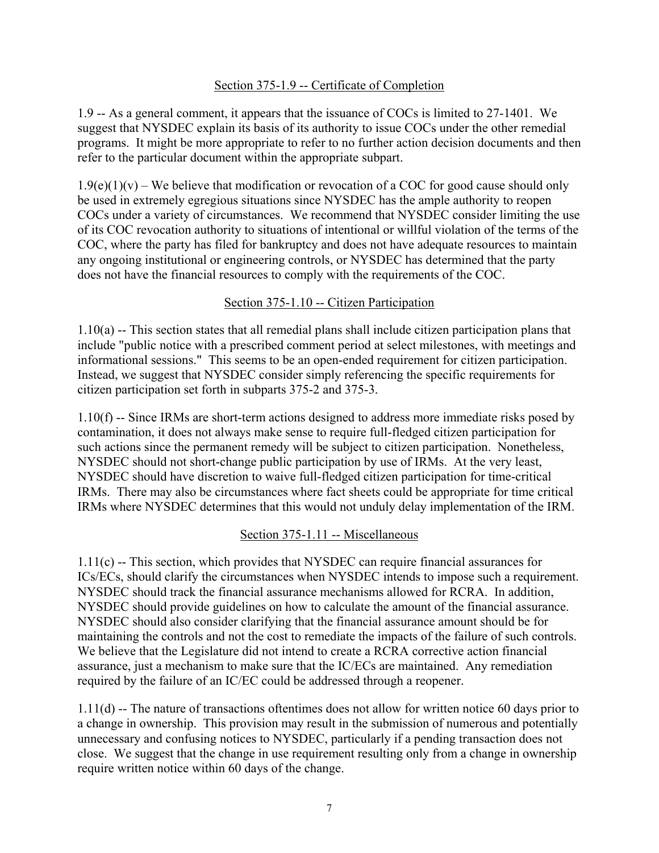#### Section 375-1.9 -- Certificate of Completion

1.9 -- As a general comment, it appears that the issuance of COCs is limited to 27-1401. We suggest that NYSDEC explain its basis of its authority to issue COCs under the other remedial programs. It might be more appropriate to refer to no further action decision documents and then refer to the particular document within the appropriate subpart.

 $1.9(e)(1)(v)$  – We believe that modification or revocation of a COC for good cause should only be used in extremely egregious situations since NYSDEC has the ample authority to reopen COCs under a variety of circumstances. We recommend that NYSDEC consider limiting the use of its COC revocation authority to situations of intentional or willful violation of the terms of the COC, where the party has filed for bankruptcy and does not have adequate resources to maintain any ongoing institutional or engineering controls, or NYSDEC has determined that the party does not have the financial resources to comply with the requirements of the COC.

#### Section 375-1.10 -- Citizen Participation

1.10(a) -- This section states that all remedial plans shall include citizen participation plans that include "public notice with a prescribed comment period at select milestones, with meetings and informational sessions." This seems to be an open-ended requirement for citizen participation. Instead, we suggest that NYSDEC consider simply referencing the specific requirements for citizen participation set forth in subparts 375-2 and 375-3.

1.10(f) -- Since IRMs are short-term actions designed to address more immediate risks posed by contamination, it does not always make sense to require full-fledged citizen participation for such actions since the permanent remedy will be subject to citizen participation. Nonetheless, NYSDEC should not short-change public participation by use of IRMs. At the very least, NYSDEC should have discretion to waive full-fledged citizen participation for time-critical IRMs. There may also be circumstances where fact sheets could be appropriate for time critical IRMs where NYSDEC determines that this would not unduly delay implementation of the IRM.

#### Section 375-1.11 -- Miscellaneous

1.11(c) -- This section, which provides that NYSDEC can require financial assurances for ICs/ECs, should clarify the circumstances when NYSDEC intends to impose such a requirement. NYSDEC should track the financial assurance mechanisms allowed for RCRA. In addition, NYSDEC should provide guidelines on how to calculate the amount of the financial assurance. NYSDEC should also consider clarifying that the financial assurance amount should be for maintaining the controls and not the cost to remediate the impacts of the failure of such controls. We believe that the Legislature did not intend to create a RCRA corrective action financial assurance, just a mechanism to make sure that the IC/ECs are maintained. Any remediation required by the failure of an IC/EC could be addressed through a reopener.

1.11(d) -- The nature of transactions oftentimes does not allow for written notice 60 days prior to a change in ownership. This provision may result in the submission of numerous and potentially unnecessary and confusing notices to NYSDEC, particularly if a pending transaction does not close. We suggest that the change in use requirement resulting only from a change in ownership require written notice within 60 days of the change.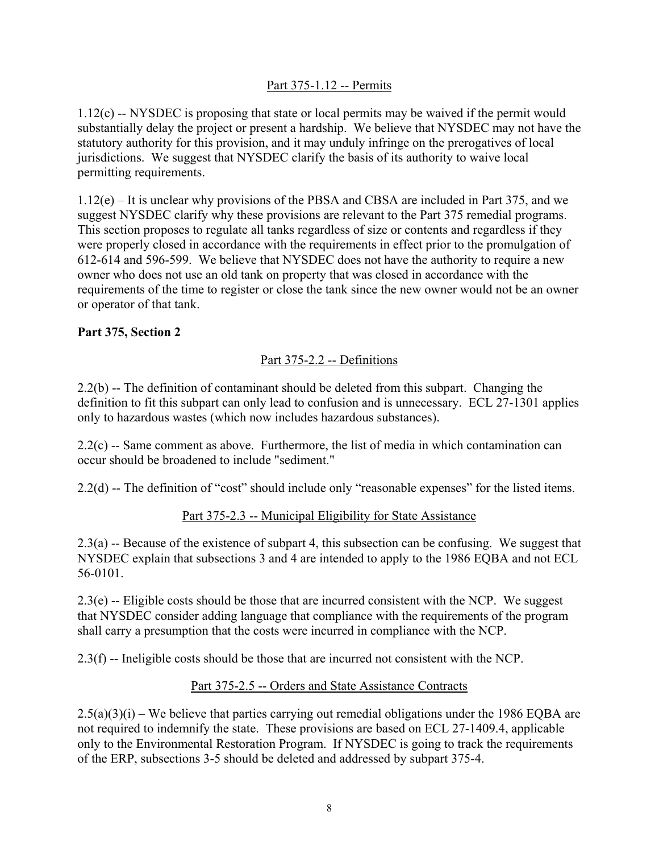# Part 375-1.12 -- Permits

1.12(c) -- NYSDEC is proposing that state or local permits may be waived if the permit would substantially delay the project or present a hardship. We believe that NYSDEC may not have the statutory authority for this provision, and it may unduly infringe on the prerogatives of local jurisdictions. We suggest that NYSDEC clarify the basis of its authority to waive local permitting requirements.

1.12(e) – It is unclear why provisions of the PBSA and CBSA are included in Part 375, and we suggest NYSDEC clarify why these provisions are relevant to the Part 375 remedial programs. This section proposes to regulate all tanks regardless of size or contents and regardless if they were properly closed in accordance with the requirements in effect prior to the promulgation of 612-614 and 596-599. We believe that NYSDEC does not have the authority to require a new owner who does not use an old tank on property that was closed in accordance with the requirements of the time to register or close the tank since the new owner would not be an owner or operator of that tank.

## **Part 375, Section 2**

# Part 375-2.2 -- Definitions

2.2(b) -- The definition of contaminant should be deleted from this subpart. Changing the definition to fit this subpart can only lead to confusion and is unnecessary. ECL 27-1301 applies only to hazardous wastes (which now includes hazardous substances).

2.2(c) -- Same comment as above. Furthermore, the list of media in which contamination can occur should be broadened to include "sediment."

2.2(d) -- The definition of "cost" should include only "reasonable expenses" for the listed items.

## Part 375-2.3 -- Municipal Eligibility for State Assistance

2.3(a) -- Because of the existence of subpart 4, this subsection can be confusing. We suggest that NYSDEC explain that subsections 3 and 4 are intended to apply to the 1986 EQBA and not ECL 56-0101.

 $2.3(e)$  -- Eligible costs should be those that are incurred consistent with the NCP. We suggest that NYSDEC consider adding language that compliance with the requirements of the program shall carry a presumption that the costs were incurred in compliance with the NCP.

2.3(f) -- Ineligible costs should be those that are incurred not consistent with the NCP.

## Part 375-2.5 -- Orders and State Assistance Contracts

 $2.5(a)(3)(i)$  – We believe that parties carrying out remedial obligations under the 1986 EQBA are not required to indemnify the state. These provisions are based on ECL 27-1409.4, applicable only to the Environmental Restoration Program. If NYSDEC is going to track the requirements of the ERP, subsections 3-5 should be deleted and addressed by subpart 375-4.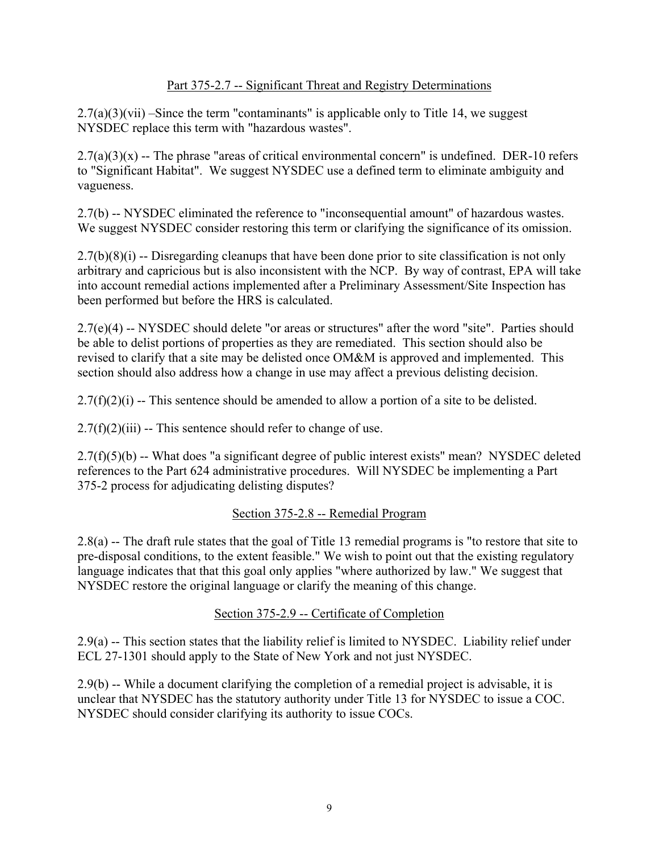## Part 375-2.7 -- Significant Threat and Registry Determinations

 $2.7(a)(3)(vii)$  –Since the term "contaminants" is applicable only to Title 14, we suggest NYSDEC replace this term with "hazardous wastes".

 $2.7(a)(3)(x)$  -- The phrase "areas of critical environmental concern" is undefined. DER-10 refers to "Significant Habitat". We suggest NYSDEC use a defined term to eliminate ambiguity and vagueness.

2.7(b) -- NYSDEC eliminated the reference to "inconsequential amount" of hazardous wastes. We suggest NYSDEC consider restoring this term or clarifying the significance of its omission.

2.7(b)(8)(i) -- Disregarding cleanups that have been done prior to site classification is not only arbitrary and capricious but is also inconsistent with the NCP. By way of contrast, EPA will take into account remedial actions implemented after a Preliminary Assessment/Site Inspection has been performed but before the HRS is calculated.

2.7(e)(4) -- NYSDEC should delete "or areas or structures" after the word "site". Parties should be able to delist portions of properties as they are remediated. This section should also be revised to clarify that a site may be delisted once OM&M is approved and implemented. This section should also address how a change in use may affect a previous delisting decision.

 $2.7(f)(2)(i)$  -- This sentence should be amended to allow a portion of a site to be delisted.

 $2.7(f)(2)(iii)$  -- This sentence should refer to change of use.

2.7(f)(5)(b) -- What does "a significant degree of public interest exists" mean? NYSDEC deleted references to the Part 624 administrative procedures. Will NYSDEC be implementing a Part 375-2 process for adjudicating delisting disputes?

#### Section 375-2.8 -- Remedial Program

2.8(a) -- The draft rule states that the goal of Title 13 remedial programs is "to restore that site to pre-disposal conditions, to the extent feasible." We wish to point out that the existing regulatory language indicates that that this goal only applies "where authorized by law." We suggest that NYSDEC restore the original language or clarify the meaning of this change.

## Section 375-2.9 -- Certificate of Completion

2.9(a) -- This section states that the liability relief is limited to NYSDEC. Liability relief under ECL 27-1301 should apply to the State of New York and not just NYSDEC.

2.9(b) -- While a document clarifying the completion of a remedial project is advisable, it is unclear that NYSDEC has the statutory authority under Title 13 for NYSDEC to issue a COC. NYSDEC should consider clarifying its authority to issue COCs.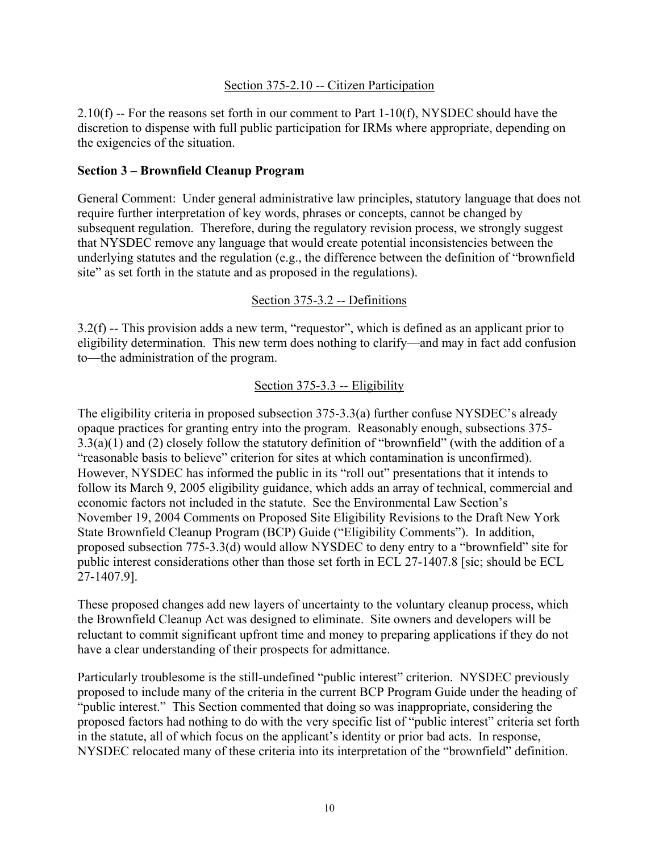#### Section 375-2.10 -- Citizen Participation

2.10(f) -- For the reasons set forth in our comment to Part 1-10(f), NYSDEC should have the discretion to dispense with full public participation for IRMs where appropriate, depending on the exigencies of the situation.

#### **Section 3 – Brownfield Cleanup Program**

General Comment: Under general administrative law principles, statutory language that does not require further interpretation of key words, phrases or concepts, cannot be changed by subsequent regulation. Therefore, during the regulatory revision process, we strongly suggest that NYSDEC remove any language that would create potential inconsistencies between the underlying statutes and the regulation (e.g., the difference between the definition of "brownfield site" as set forth in the statute and as proposed in the regulations).

#### Section 375-3.2 -- Definitions

3.2(f) -- This provision adds a new term, "requestor", which is defined as an applicant prior to eligibility determination. This new term does nothing to clarify—and may in fact add confusion to—the administration of the program.

#### Section 375-3.3 -- Eligibility

The eligibility criteria in proposed subsection 375-3.3(a) further confuse NYSDEC's already opaque practices for granting entry into the program. Reasonably enough, subsections 375- 3.3(a)(1) and (2) closely follow the statutory definition of "brownfield" (with the addition of a "reasonable basis to believe" criterion for sites at which contamination is unconfirmed). However, NYSDEC has informed the public in its "roll out" presentations that it intends to follow its March 9, 2005 eligibility guidance, which adds an array of technical, commercial and economic factors not included in the statute. See the Environmental Law Section's November 19, 2004 Comments on Proposed Site Eligibility Revisions to the Draft New York State Brownfield Cleanup Program (BCP) Guide ("Eligibility Comments"). In addition, proposed subsection 775-3.3(d) would allow NYSDEC to deny entry to a "brownfield" site for public interest considerations other than those set forth in ECL 27-1407.8 [sic; should be ECL 27-1407.9].

These proposed changes add new layers of uncertainty to the voluntary cleanup process, which the Brownfield Cleanup Act was designed to eliminate. Site owners and developers will be reluctant to commit significant upfront time and money to preparing applications if they do not have a clear understanding of their prospects for admittance.

Particularly troublesome is the still-undefined "public interest" criterion. NYSDEC previously proposed to include many of the criteria in the current BCP Program Guide under the heading of "public interest." This Section commented that doing so was inappropriate, considering the proposed factors had nothing to do with the very specific list of "public interest" criteria set forth in the statute, all of which focus on the applicant's identity or prior bad acts. In response, NYSDEC relocated many of these criteria into its interpretation of the "brownfield" definition.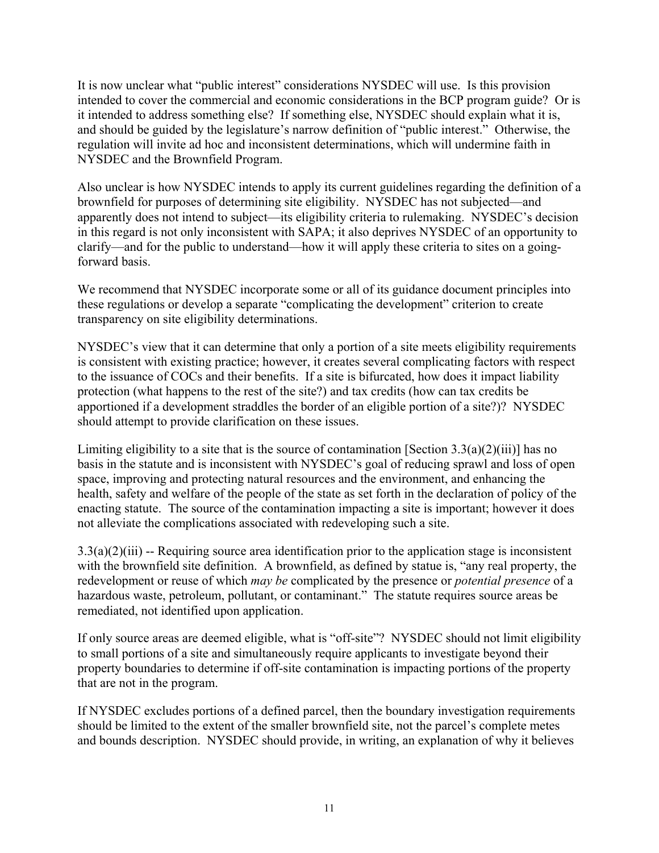It is now unclear what "public interest" considerations NYSDEC will use. Is this provision intended to cover the commercial and economic considerations in the BCP program guide? Or is it intended to address something else? If something else, NYSDEC should explain what it is, and should be guided by the legislature's narrow definition of "public interest." Otherwise, the regulation will invite ad hoc and inconsistent determinations, which will undermine faith in NYSDEC and the Brownfield Program.

Also unclear is how NYSDEC intends to apply its current guidelines regarding the definition of a brownfield for purposes of determining site eligibility. NYSDEC has not subjected—and apparently does not intend to subject—its eligibility criteria to rulemaking. NYSDEC's decision in this regard is not only inconsistent with SAPA; it also deprives NYSDEC of an opportunity to clarify—and for the public to understand—how it will apply these criteria to sites on a goingforward basis.

We recommend that NYSDEC incorporate some or all of its guidance document principles into these regulations or develop a separate "complicating the development" criterion to create transparency on site eligibility determinations.

NYSDEC's view that it can determine that only a portion of a site meets eligibility requirements is consistent with existing practice; however, it creates several complicating factors with respect to the issuance of COCs and their benefits. If a site is bifurcated, how does it impact liability protection (what happens to the rest of the site?) and tax credits (how can tax credits be apportioned if a development straddles the border of an eligible portion of a site?)? NYSDEC should attempt to provide clarification on these issues.

Limiting eligibility to a site that is the source of contamination [Section  $3.3(a)(2)(iii)$ ] has no basis in the statute and is inconsistent with NYSDEC's goal of reducing sprawl and loss of open space, improving and protecting natural resources and the environment, and enhancing the health, safety and welfare of the people of the state as set forth in the declaration of policy of the enacting statute. The source of the contamination impacting a site is important; however it does not alleviate the complications associated with redeveloping such a site.

 $3.3(a)(2)(iii)$  -- Requiring source area identification prior to the application stage is inconsistent with the brownfield site definition. A brownfield, as defined by statue is, "any real property, the redevelopment or reuse of which *may be* complicated by the presence or *potential presence* of a hazardous waste, petroleum, pollutant, or contaminant." The statute requires source areas be remediated, not identified upon application.

If only source areas are deemed eligible, what is "off-site"? NYSDEC should not limit eligibility to small portions of a site and simultaneously require applicants to investigate beyond their property boundaries to determine if off-site contamination is impacting portions of the property that are not in the program.

If NYSDEC excludes portions of a defined parcel, then the boundary investigation requirements should be limited to the extent of the smaller brownfield site, not the parcel's complete metes and bounds description. NYSDEC should provide, in writing, an explanation of why it believes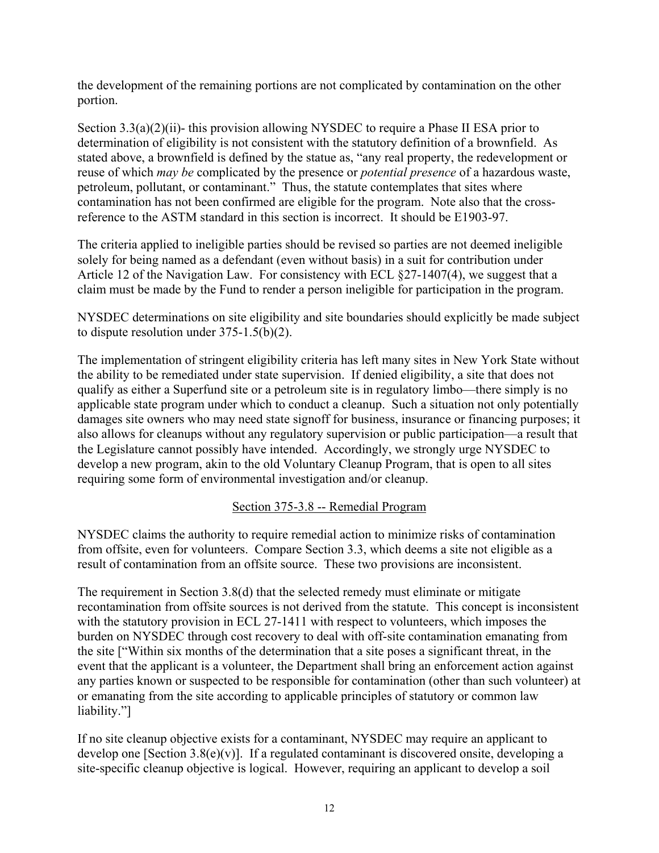the development of the remaining portions are not complicated by contamination on the other portion.

Section 3.3(a)(2)(ii)- this provision allowing NYSDEC to require a Phase II ESA prior to determination of eligibility is not consistent with the statutory definition of a brownfield. As stated above, a brownfield is defined by the statue as, "any real property, the redevelopment or reuse of which *may be* complicated by the presence or *potential presence* of a hazardous waste, petroleum, pollutant, or contaminant." Thus, the statute contemplates that sites where contamination has not been confirmed are eligible for the program. Note also that the crossreference to the ASTM standard in this section is incorrect. It should be E1903-97.

The criteria applied to ineligible parties should be revised so parties are not deemed ineligible solely for being named as a defendant (even without basis) in a suit for contribution under Article 12 of the Navigation Law. For consistency with ECL §27-1407(4), we suggest that a claim must be made by the Fund to render a person ineligible for participation in the program.

NYSDEC determinations on site eligibility and site boundaries should explicitly be made subject to dispute resolution under 375-1.5(b)(2).

The implementation of stringent eligibility criteria has left many sites in New York State without the ability to be remediated under state supervision. If denied eligibility, a site that does not qualify as either a Superfund site or a petroleum site is in regulatory limbo—there simply is no applicable state program under which to conduct a cleanup. Such a situation not only potentially damages site owners who may need state signoff for business, insurance or financing purposes; it also allows for cleanups without any regulatory supervision or public participation—a result that the Legislature cannot possibly have intended. Accordingly, we strongly urge NYSDEC to develop a new program, akin to the old Voluntary Cleanup Program, that is open to all sites requiring some form of environmental investigation and/or cleanup.

## Section 375-3.8 -- Remedial Program

NYSDEC claims the authority to require remedial action to minimize risks of contamination from offsite, even for volunteers. Compare Section 3.3, which deems a site not eligible as a result of contamination from an offsite source. These two provisions are inconsistent.

The requirement in Section 3.8(d) that the selected remedy must eliminate or mitigate recontamination from offsite sources is not derived from the statute. This concept is inconsistent with the statutory provision in ECL 27-1411 with respect to volunteers, which imposes the burden on NYSDEC through cost recovery to deal with off-site contamination emanating from the site ["Within six months of the determination that a site poses a significant threat, in the event that the applicant is a volunteer, the Department shall bring an enforcement action against any parties known or suspected to be responsible for contamination (other than such volunteer) at or emanating from the site according to applicable principles of statutory or common law liability."]

If no site cleanup objective exists for a contaminant, NYSDEC may require an applicant to develop one [Section 3.8(e)(v)]. If a regulated contaminant is discovered onsite, developing a site-specific cleanup objective is logical. However, requiring an applicant to develop a soil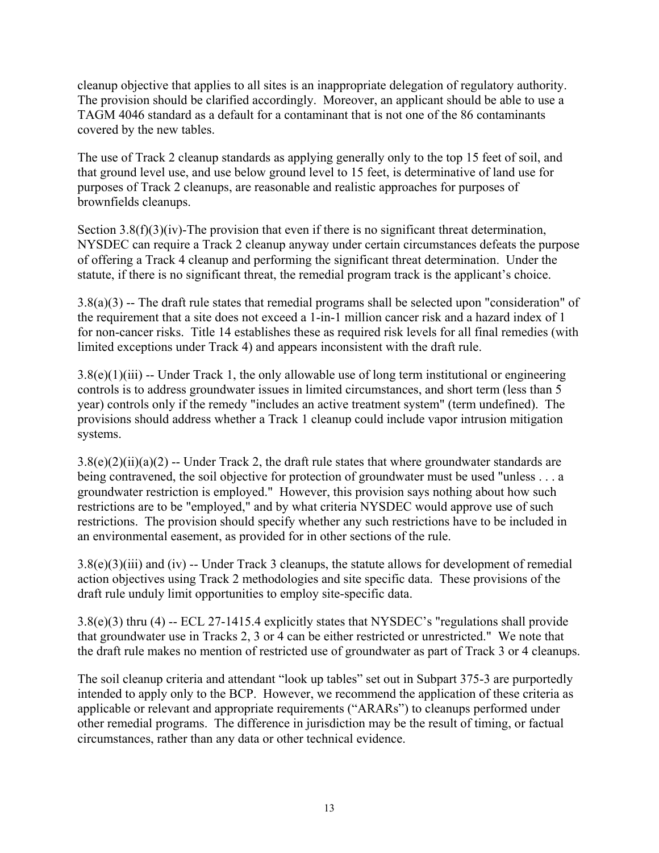cleanup objective that applies to all sites is an inappropriate delegation of regulatory authority. The provision should be clarified accordingly. Moreover, an applicant should be able to use a TAGM 4046 standard as a default for a contaminant that is not one of the 86 contaminants covered by the new tables.

The use of Track 2 cleanup standards as applying generally only to the top 15 feet of soil, and that ground level use, and use below ground level to 15 feet, is determinative of land use for purposes of Track 2 cleanups, are reasonable and realistic approaches for purposes of brownfields cleanups.

Section 3.8(f)(3)(iv)-The provision that even if there is no significant threat determination, NYSDEC can require a Track 2 cleanup anyway under certain circumstances defeats the purpose of offering a Track 4 cleanup and performing the significant threat determination. Under the statute, if there is no significant threat, the remedial program track is the applicant's choice.

3.8(a)(3) -- The draft rule states that remedial programs shall be selected upon "consideration" of the requirement that a site does not exceed a 1-in-1 million cancer risk and a hazard index of 1 for non-cancer risks. Title 14 establishes these as required risk levels for all final remedies (with limited exceptions under Track 4) and appears inconsistent with the draft rule.

 $3.8(e)(1)(iii)$  -- Under Track 1, the only allowable use of long term institutional or engineering controls is to address groundwater issues in limited circumstances, and short term (less than 5 year) controls only if the remedy "includes an active treatment system" (term undefined). The provisions should address whether a Track 1 cleanup could include vapor intrusion mitigation systems.

 $3.8(e)(2)(ii)(a)(2) -$  Under Track 2, the draft rule states that where groundwater standards are being contravened, the soil objective for protection of groundwater must be used "unless . . . a groundwater restriction is employed." However, this provision says nothing about how such restrictions are to be "employed," and by what criteria NYSDEC would approve use of such restrictions. The provision should specify whether any such restrictions have to be included in an environmental easement, as provided for in other sections of the rule.

 $3.8(e)(3)(iii)$  and (iv) -- Under Track 3 cleanups, the statute allows for development of remedial action objectives using Track 2 methodologies and site specific data. These provisions of the draft rule unduly limit opportunities to employ site-specific data.

3.8(e)(3) thru (4) -- ECL 27-1415.4 explicitly states that NYSDEC's "regulations shall provide that groundwater use in Tracks 2, 3 or 4 can be either restricted or unrestricted." We note that the draft rule makes no mention of restricted use of groundwater as part of Track 3 or 4 cleanups.

The soil cleanup criteria and attendant "look up tables" set out in Subpart 375-3 are purportedly intended to apply only to the BCP. However, we recommend the application of these criteria as applicable or relevant and appropriate requirements ("ARARs") to cleanups performed under other remedial programs. The difference in jurisdiction may be the result of timing, or factual circumstances, rather than any data or other technical evidence.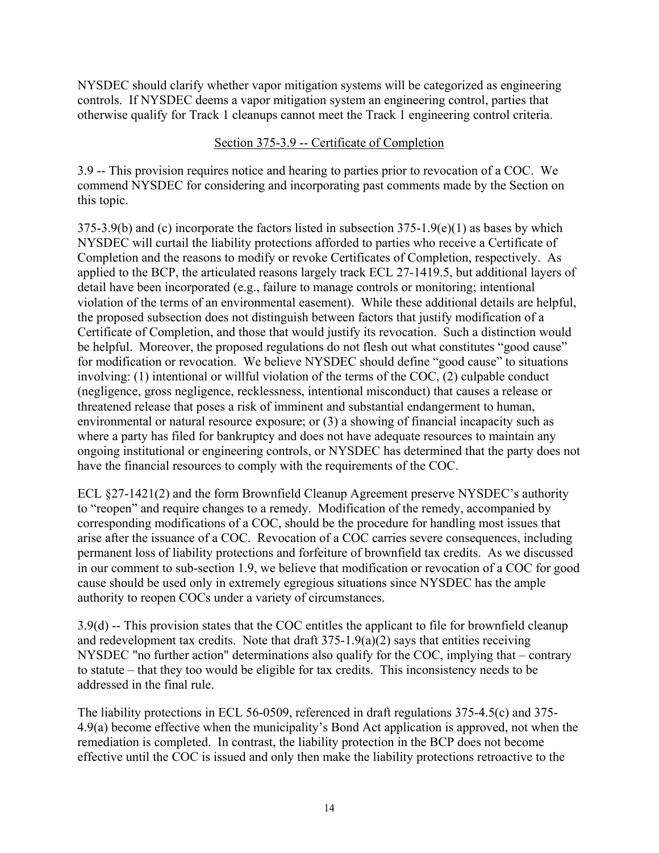NYSDEC should clarify whether vapor mitigation systems will be categorized as engineering controls. If NYSDEC deems a vapor mitigation system an engineering control, parties that otherwise qualify for Track 1 cleanups cannot meet the Track 1 engineering control criteria.

#### Section 375-3.9 -- Certificate of Completion

3.9 -- This provision requires notice and hearing to parties prior to revocation of a COC. We commend NYSDEC for considering and incorporating past comments made by the Section on this topic.

375-3.9(b) and (c) incorporate the factors listed in subsection 375-1.9(e)(1) as bases by which NYSDEC will curtail the liability protections afforded to parties who receive a Certificate of Completion and the reasons to modify or revoke Certificates of Completion, respectively. As applied to the BCP, the articulated reasons largely track ECL 27-1419.5, but additional layers of detail have been incorporated (e.g., failure to manage controls or monitoring; intentional violation of the terms of an environmental easement). While these additional details are helpful, the proposed subsection does not distinguish between factors that justify modification of a Certificate of Completion, and those that would justify its revocation. Such a distinction would be helpful. Moreover, the proposed regulations do not flesh out what constitutes "good cause" for modification or revocation. We believe NYSDEC should define "good cause" to situations involving: (1) intentional or willful violation of the terms of the COC, (2) culpable conduct (negligence, gross negligence, recklessness, intentional misconduct) that causes a release or threatened release that poses a risk of imminent and substantial endangerment to human, environmental or natural resource exposure; or (3) a showing of financial incapacity such as where a party has filed for bankruptcy and does not have adequate resources to maintain any ongoing institutional or engineering controls, or NYSDEC has determined that the party does not have the financial resources to comply with the requirements of the COC.

ECL §27-1421(2) and the form Brownfield Cleanup Agreement preserve NYSDEC's authority to "reopen" and require changes to a remedy. Modification of the remedy, accompanied by corresponding modifications of a COC, should be the procedure for handling most issues that arise after the issuance of a COC. Revocation of a COC carries severe consequences, including permanent loss of liability protections and forfeiture of brownfield tax credits. As we discussed in our comment to sub-section 1.9, we believe that modification or revocation of a COC for good cause should be used only in extremely egregious situations since NYSDEC has the ample authority to reopen COCs under a variety of circumstances.

3.9(d) -- This provision states that the COC entitles the applicant to file for brownfield cleanup and redevelopment tax credits. Note that draft  $375-1.9(a)(2)$  says that entities receiving NYSDEC "no further action" determinations also qualify for the COC, implying that – contrary to statute – that they too would be eligible for tax credits. This inconsistency needs to be addressed in the final rule.

The liability protections in ECL 56-0509, referenced in draft regulations 375-4.5(c) and 375- 4.9(a) become effective when the municipality's Bond Act application is approved, not when the remediation is completed. In contrast, the liability protection in the BCP does not become effective until the COC is issued and only then make the liability protections retroactive to the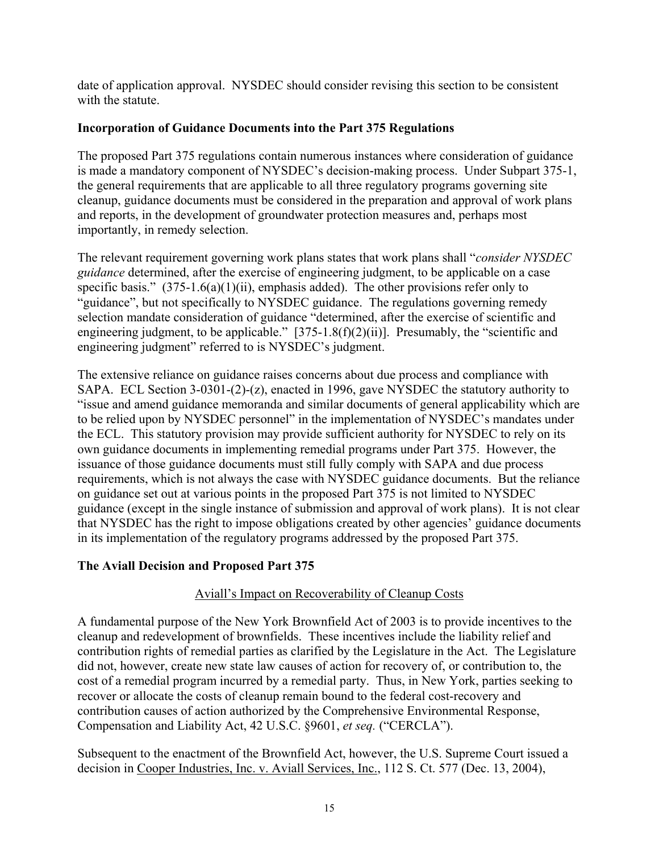date of application approval. NYSDEC should consider revising this section to be consistent with the statute.

# **Incorporation of Guidance Documents into the Part 375 Regulations**

The proposed Part 375 regulations contain numerous instances where consideration of guidance is made a mandatory component of NYSDEC's decision-making process. Under Subpart 375-1, the general requirements that are applicable to all three regulatory programs governing site cleanup, guidance documents must be considered in the preparation and approval of work plans and reports, in the development of groundwater protection measures and, perhaps most importantly, in remedy selection.

The relevant requirement governing work plans states that work plans shall "*consider NYSDEC guidance* determined, after the exercise of engineering judgment, to be applicable on a case specific basis."  $(375-1.6(a)(1)(ii)$ , emphasis added). The other provisions refer only to "guidance", but not specifically to NYSDEC guidance. The regulations governing remedy selection mandate consideration of guidance "determined, after the exercise of scientific and engineering judgment, to be applicable."  $[375-1.8(f)(2)(ii)]$ . Presumably, the "scientific and engineering judgment" referred to is NYSDEC's judgment.

The extensive reliance on guidance raises concerns about due process and compliance with SAPA. ECL Section 3-0301-(2)-(z), enacted in 1996, gave NYSDEC the statutory authority to "issue and amend guidance memoranda and similar documents of general applicability which are to be relied upon by NYSDEC personnel" in the implementation of NYSDEC's mandates under the ECL. This statutory provision may provide sufficient authority for NYSDEC to rely on its own guidance documents in implementing remedial programs under Part 375. However, the issuance of those guidance documents must still fully comply with SAPA and due process requirements, which is not always the case with NYSDEC guidance documents. But the reliance on guidance set out at various points in the proposed Part 375 is not limited to NYSDEC guidance (except in the single instance of submission and approval of work plans). It is not clear that NYSDEC has the right to impose obligations created by other agencies' guidance documents in its implementation of the regulatory programs addressed by the proposed Part 375.

## **The Aviall Decision and Proposed Part 375**

# Aviall's Impact on Recoverability of Cleanup Costs

A fundamental purpose of the New York Brownfield Act of 2003 is to provide incentives to the cleanup and redevelopment of brownfields. These incentives include the liability relief and contribution rights of remedial parties as clarified by the Legislature in the Act. The Legislature did not, however, create new state law causes of action for recovery of, or contribution to, the cost of a remedial program incurred by a remedial party. Thus, in New York, parties seeking to recover or allocate the costs of cleanup remain bound to the federal cost-recovery and contribution causes of action authorized by the Comprehensive Environmental Response, Compensation and Liability Act, 42 U.S.C. §9601, *et seq.* ("CERCLA").

Subsequent to the enactment of the Brownfield Act, however, the U.S. Supreme Court issued a decision in Cooper Industries, Inc. v. Aviall Services, Inc., 112 S. Ct. 577 (Dec. 13, 2004),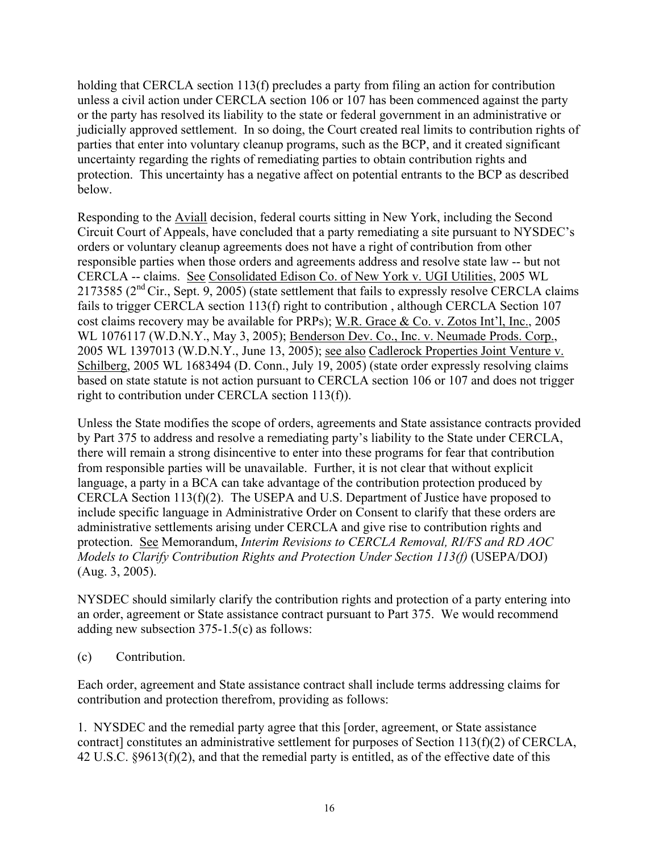holding that CERCLA section 113(f) precludes a party from filing an action for contribution unless a civil action under CERCLA section 106 or 107 has been commenced against the party or the party has resolved its liability to the state or federal government in an administrative or judicially approved settlement. In so doing, the Court created real limits to contribution rights of parties that enter into voluntary cleanup programs, such as the BCP, and it created significant uncertainty regarding the rights of remediating parties to obtain contribution rights and protection. This uncertainty has a negative affect on potential entrants to the BCP as described below.

Responding to the Aviall decision, federal courts sitting in New York, including the Second Circuit Court of Appeals, have concluded that a party remediating a site pursuant to NYSDEC's orders or voluntary cleanup agreements does not have a right of contribution from other responsible parties when those orders and agreements address and resolve state law -- but not CERCLA -- claims. See Consolidated Edison Co. of New York v. UGI Utilities, 2005 WL 2173585 ( $2<sup>nd</sup> Cir.$ , Sept. 9, 2005) (state settlement that fails to expressly resolve CERCLA claims fails to trigger CERCLA section 113(f) right to contribution , although CERCLA Section 107 cost claims recovery may be available for PRPs); W.R. Grace & Co. v. Zotos Int'l, Inc., 2005 WL 1076117 (W.D.N.Y., May 3, 2005); Benderson Dev. Co., Inc. v. Neumade Prods. Corp., 2005 WL 1397013 (W.D.N.Y., June 13, 2005); see also Cadlerock Properties Joint Venture v. Schilberg, 2005 WL 1683494 (D. Conn., July 19, 2005) (state order expressly resolving claims based on state statute is not action pursuant to CERCLA section 106 or 107 and does not trigger right to contribution under CERCLA section 113(f)).

Unless the State modifies the scope of orders, agreements and State assistance contracts provided by Part 375 to address and resolve a remediating party's liability to the State under CERCLA, there will remain a strong disincentive to enter into these programs for fear that contribution from responsible parties will be unavailable. Further, it is not clear that without explicit language, a party in a BCA can take advantage of the contribution protection produced by CERCLA Section 113(f)(2). The USEPA and U.S. Department of Justice have proposed to include specific language in Administrative Order on Consent to clarify that these orders are administrative settlements arising under CERCLA and give rise to contribution rights and protection. See Memorandum, *Interim Revisions to CERCLA Removal, RI/FS and RD AOC Models to Clarify Contribution Rights and Protection Under Section 113(f)* (USEPA/DOJ) (Aug. 3, 2005).

NYSDEC should similarly clarify the contribution rights and protection of a party entering into an order, agreement or State assistance contract pursuant to Part 375. We would recommend adding new subsection 375-1.5(c) as follows:

(c) Contribution.

Each order, agreement and State assistance contract shall include terms addressing claims for contribution and protection therefrom, providing as follows:

1. NYSDEC and the remedial party agree that this [order, agreement, or State assistance contract] constitutes an administrative settlement for purposes of Section 113(f)(2) of CERCLA, 42 U.S.C. §9613(f)(2), and that the remedial party is entitled, as of the effective date of this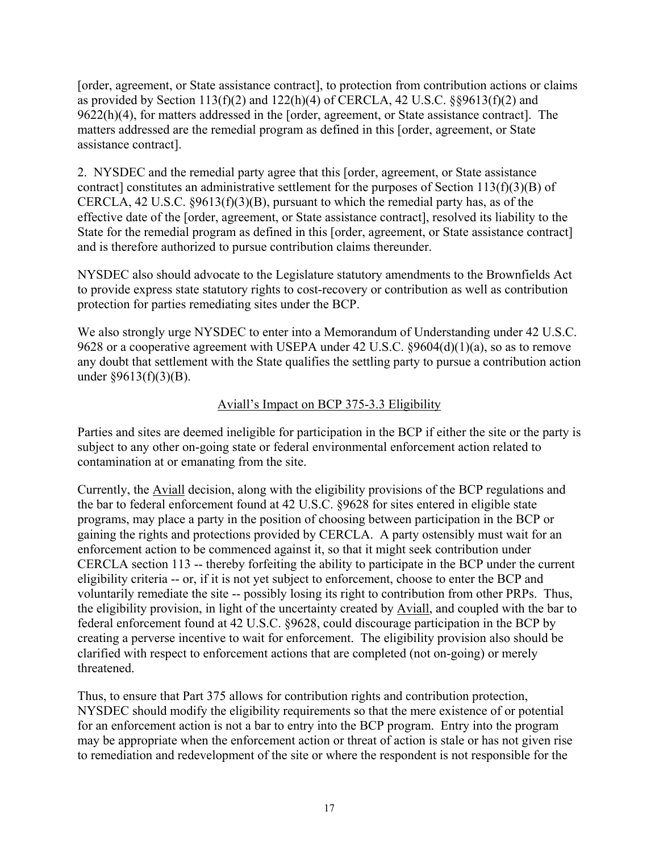[order, agreement, or State assistance contract], to protection from contribution actions or claims as provided by Section 113(f)(2) and 122(h)(4) of CERCLA, 42 U.S.C.  $\S$ §9613(f)(2) and 9622(h)(4), for matters addressed in the [order, agreement, or State assistance contract]. The matters addressed are the remedial program as defined in this [order, agreement, or State assistance contract].

2. NYSDEC and the remedial party agree that this [order, agreement, or State assistance contract] constitutes an administrative settlement for the purposes of Section 113(f)(3)(B) of CERCLA, 42 U.S.C. §9613(f)(3)(B), pursuant to which the remedial party has, as of the effective date of the [order, agreement, or State assistance contract], resolved its liability to the State for the remedial program as defined in this [order, agreement, or State assistance contract] and is therefore authorized to pursue contribution claims thereunder.

NYSDEC also should advocate to the Legislature statutory amendments to the Brownfields Act to provide express state statutory rights to cost-recovery or contribution as well as contribution protection for parties remediating sites under the BCP.

We also strongly urge NYSDEC to enter into a Memorandum of Understanding under 42 U.S.C. 9628 or a cooperative agreement with USEPA under 42 U.S.C. §9604(d)(1)(a), so as to remove any doubt that settlement with the State qualifies the settling party to pursue a contribution action under §9613(f)(3)(B).

# Aviall's Impact on BCP 375-3.3 Eligibility

Parties and sites are deemed ineligible for participation in the BCP if either the site or the party is subject to any other on-going state or federal environmental enforcement action related to contamination at or emanating from the site.

Currently, the Aviall decision, along with the eligibility provisions of the BCP regulations and the bar to federal enforcement found at 42 U.S.C. §9628 for sites entered in eligible state programs, may place a party in the position of choosing between participation in the BCP or gaining the rights and protections provided by CERCLA. A party ostensibly must wait for an enforcement action to be commenced against it, so that it might seek contribution under CERCLA section 113 -- thereby forfeiting the ability to participate in the BCP under the current eligibility criteria -- or, if it is not yet subject to enforcement, choose to enter the BCP and voluntarily remediate the site -- possibly losing its right to contribution from other PRPs. Thus, the eligibility provision, in light of the uncertainty created by Aviall, and coupled with the bar to federal enforcement found at 42 U.S.C. §9628, could discourage participation in the BCP by creating a perverse incentive to wait for enforcement. The eligibility provision also should be clarified with respect to enforcement actions that are completed (not on-going) or merely threatened.

Thus, to ensure that Part 375 allows for contribution rights and contribution protection, NYSDEC should modify the eligibility requirements so that the mere existence of or potential for an enforcement action is not a bar to entry into the BCP program. Entry into the program may be appropriate when the enforcement action or threat of action is stale or has not given rise to remediation and redevelopment of the site or where the respondent is not responsible for the